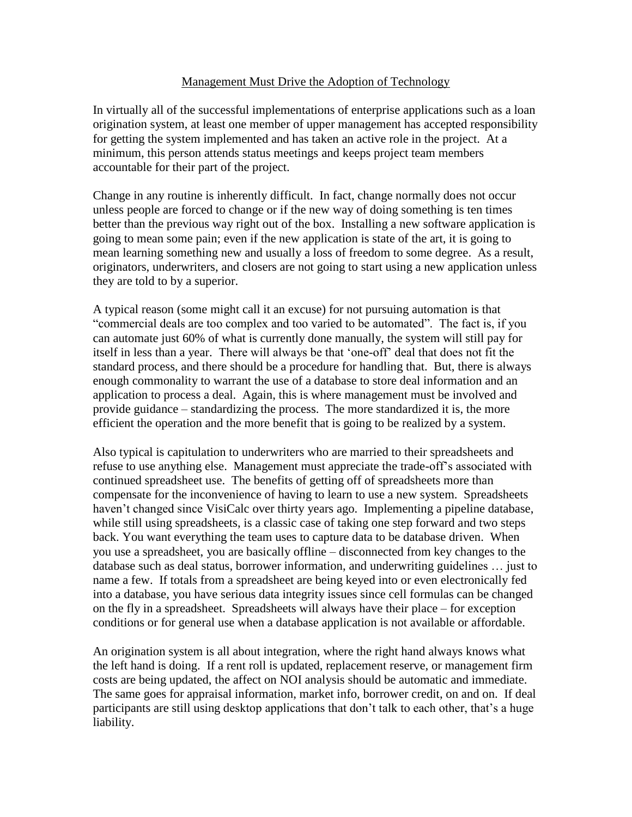## Management Must Drive the Adoption of Technology

In virtually all of the successful implementations of enterprise applications such as a loan origination system, at least one member of upper management has accepted responsibility for getting the system implemented and has taken an active role in the project. At a minimum, this person attends status meetings and keeps project team members accountable for their part of the project.

Change in any routine is inherently difficult. In fact, change normally does not occur unless people are forced to change or if the new way of doing something is ten times better than the previous way right out of the box. Installing a new software application is going to mean some pain; even if the new application is state of the art, it is going to mean learning something new and usually a loss of freedom to some degree. As a result, originators, underwriters, and closers are not going to start using a new application unless they are told to by a superior.

A typical reason (some might call it an excuse) for not pursuing automation is that "commercial deals are too complex and too varied to be automated". The fact is, if you can automate just 60% of what is currently done manually, the system will still pay for itself in less than a year. There will always be that 'one-off' deal that does not fit the standard process, and there should be a procedure for handling that. But, there is always enough commonality to warrant the use of a database to store deal information and an application to process a deal. Again, this is where management must be involved and provide guidance – standardizing the process. The more standardized it is, the more efficient the operation and the more benefit that is going to be realized by a system.

Also typical is capitulation to underwriters who are married to their spreadsheets and refuse to use anything else. Management must appreciate the trade-off's associated with continued spreadsheet use. The benefits of getting off of spreadsheets more than compensate for the inconvenience of having to learn to use a new system. Spreadsheets haven't changed since VisiCalc over thirty years ago. Implementing a pipeline database, while still using spreadsheets, is a classic case of taking one step forward and two steps back. You want everything the team uses to capture data to be database driven. When you use a spreadsheet, you are basically offline – disconnected from key changes to the database such as deal status, borrower information, and underwriting guidelines … just to name a few. If totals from a spreadsheet are being keyed into or even electronically fed into a database, you have serious data integrity issues since cell formulas can be changed on the fly in a spreadsheet. Spreadsheets will always have their place – for exception conditions or for general use when a database application is not available or affordable.

An origination system is all about integration, where the right hand always knows what the left hand is doing. If a rent roll is updated, replacement reserve, or management firm costs are being updated, the affect on NOI analysis should be automatic and immediate. The same goes for appraisal information, market info, borrower credit, on and on. If deal participants are still using desktop applications that don't talk to each other, that's a huge liability.